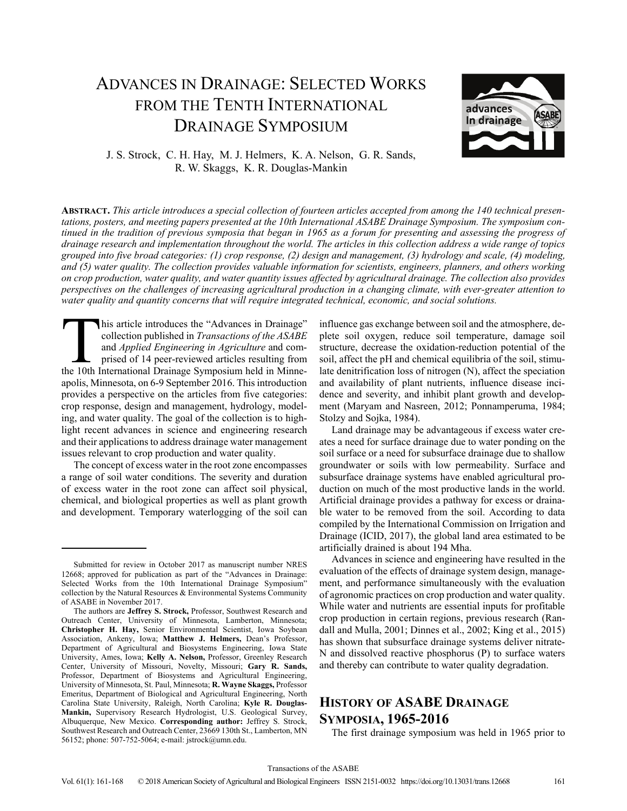# ADVANCES IN DRAINAGE: SELECTED WORKS FROM THE TENTH INTERNATIONAL DRAINAGE SYMPOSIUM



J. S. Strock, C. H. Hay, M. J. Helmers, K. A. Nelson, G. R. Sands, R. W. Skaggs, K. R. Douglas-Mankin

**ABSTRACT.** *This article introduces a special collection of fourteen articles accepted from among the 140 technical presentations, posters, and meeting papers presented at the 10th International ASABE Drainage Symposium. The symposium continued in the tradition of previous symposia that began in 1965 as a forum for presenting and assessing the progress of drainage research and implementation throughout the world. The articles in this collection address a wide range of topics grouped into five broad categories: (1) crop response, (2) design and management, (3) hydrology and scale, (4) modeling, and (5) water quality. The collection provides valuable information for scientists, engineers, planners, and others working on crop production, water quality, and water quantity issues affected by agricultural drainage. The collection also provides perspectives on the challenges of increasing agricultural production in a changing climate, with ever-greater attention to water quality and quantity concerns that will require integrated technical, economic, and social solutions.* 

his article introduces the "Advances in Drainage" collection published in *Transactions of the ASABE* and *Applied Engineering in Agriculture* and comprised of 14 peer-reviewed articles resulting from This article introduces the "Advances in Drainage" collection published in *Transactions of the ASABE* and *Applied Engineering in Agriculture* and comprised of 14 peer-reviewed articles resulting from the 10th Internation apolis, Minnesota, on 6-9 September 2016. This introduction provides a perspective on the articles from five categories: crop response, design and management, hydrology, modeling, and water quality. The goal of the collection is to highlight recent advances in science and engineering research and their applications to address drainage water management issues relevant to crop production and water quality.

The concept of excess water in the root zone encompasses a range of soil water conditions. The severity and duration of excess water in the root zone can affect soil physical, chemical, and biological properties as well as plant growth and development. Temporary waterlogging of the soil can influence gas exchange between soil and the atmosphere, deplete soil oxygen, reduce soil temperature, damage soil structure, decrease the oxidation-reduction potential of the soil, affect the pH and chemical equilibria of the soil, stimulate denitrification loss of nitrogen (N), affect the speciation and availability of plant nutrients, influence disease incidence and severity, and inhibit plant growth and development (Maryam and Nasreen, 2012; Ponnamperuma, 1984; Stolzy and Sojka, 1984).

Land drainage may be advantageous if excess water creates a need for surface drainage due to water ponding on the soil surface or a need for subsurface drainage due to shallow groundwater or soils with low permeability. Surface and subsurface drainage systems have enabled agricultural production on much of the most productive lands in the world. Artificial drainage provides a pathway for excess or drainable water to be removed from the soil. According to data compiled by the International Commission on Irrigation and Drainage (ICID, 2017), the global land area estimated to be artificially drained is about 194 Mha.

Advances in science and engineering have resulted in the evaluation of the effects of drainage system design, management, and performance simultaneously with the evaluation of agronomic practices on crop production and water quality. While water and nutrients are essential inputs for profitable crop production in certain regions, previous research (Randall and Mulla, 2001; Dinnes et al., 2002; King et al., 2015) has shown that subsurface drainage systems deliver nitrate-N and dissolved reactive phosphorus (P) to surface waters and thereby can contribute to water quality degradation.

# **HISTORY OF ASABE DRAINAGE SYMPOSIA, 1965-2016**

The first drainage symposium was held in 1965 prior to

Submitted for review in October 2017 as manuscript number NRES 12668; approved for publication as part of the "Advances in Drainage: Selected Works from the 10th International Drainage Symposium" collection by the Natural Resources & Environmental Systems Community of ASABE in November 2017.

The authors are **Jeffrey S. Strock,** Professor, Southwest Research and Outreach Center, University of Minnesota, Lamberton, Minnesota; **Christopher H. Hay,** Senior Environmental Scientist, Iowa Soybean Association, Ankeny, Iowa; **Matthew J. Helmers,** Dean's Professor, Department of Agricultural and Biosystems Engineering, Iowa State University, Ames, Iowa; **Kelly A. Nelson,** Professor, Greenley Research Center, University of Missouri, Novelty, Missouri; **Gary R. Sands,** Professor, Department of Biosystems and Agricultural Engineering, University of Minnesota, St. Paul, Minnesota; **R. Wayne Skaggs,** Professor Emeritus, Department of Biological and Agricultural Engineering, North Carolina State University, Raleigh, North Carolina; **Kyle R. Douglas-Mankin,** Supervisory Research Hydrologist, U.S. Geological Survey, Albuquerque, New Mexico. **Corresponding author:** Jeffrey S. Strock, Southwest Research and Outreach Center, 23669 130th St., Lamberton, MN 56152; phone: 507-752-5064; e-mail: jstrock@umn.edu.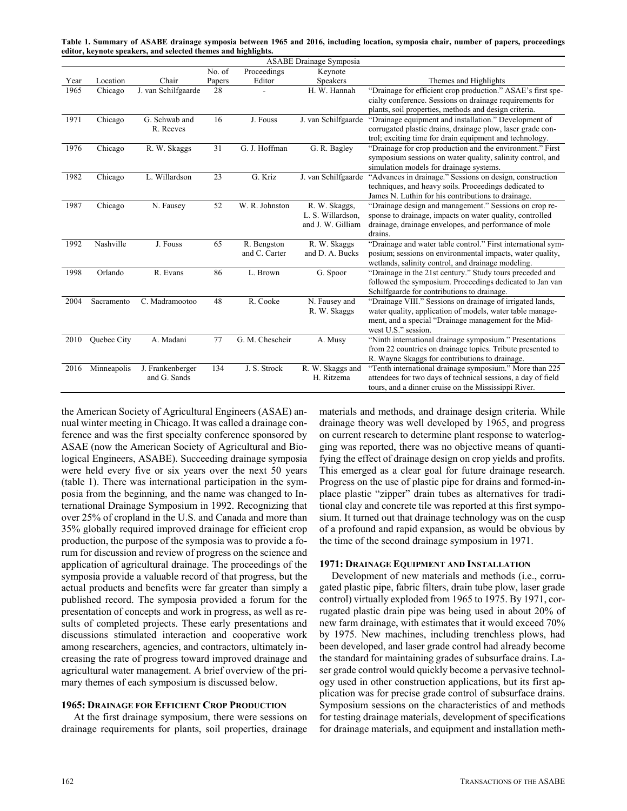| Table 1. Summary of ASABE drainage symposia between 1965 and 2016, including location, symposia chair, number of papers, proceedings |  |  |  |
|--------------------------------------------------------------------------------------------------------------------------------------|--|--|--|
| editor, keynote speakers, and selected themes and highlights.                                                                        |  |  |  |

| <b>ASABE</b> Drainage Symposia |                    |                     |        |                 |                     |                                                              |  |  |  |
|--------------------------------|--------------------|---------------------|--------|-----------------|---------------------|--------------------------------------------------------------|--|--|--|
|                                |                    |                     | No. of | Proceedings     | Keynote             |                                                              |  |  |  |
| Year                           | Location           | Chair               | Papers | Editor          | Speakers            | Themes and Highlights                                        |  |  |  |
| 1965                           | Chicago            | J. van Schilfgaarde | 28     |                 | H. W. Hannah        | "Drainage for efficient crop production." ASAE's first spe-  |  |  |  |
|                                |                    |                     |        |                 |                     | cialty conference. Sessions on drainage requirements for     |  |  |  |
|                                |                    |                     |        |                 |                     | plants, soil properties, methods and design criteria.        |  |  |  |
| 1971                           | Chicago            | G. Schwab and       | 16     | J. Fouss        | J. van Schilfgaarde | "Drainage equipment and installation." Development of        |  |  |  |
|                                |                    | R. Reeves           |        |                 |                     | corrugated plastic drains, drainage plow, laser grade con-   |  |  |  |
|                                |                    |                     |        |                 |                     | trol; exciting time for drain equipment and technology.      |  |  |  |
| 1976                           | Chicago            | R. W. Skaggs        | 31     | G. J. Hoffman   | G. R. Bagley        | "Drainage for crop production and the environment." First    |  |  |  |
|                                |                    |                     |        |                 |                     | symposium sessions on water quality, salinity control, and   |  |  |  |
|                                |                    |                     |        |                 |                     | simulation models for drainage systems.                      |  |  |  |
| 1982                           | Chicago            | L. Willardson       | 23     | G. Kriz         | J. van Schilfgaarde | "Advances in drainage." Sessions on design, construction     |  |  |  |
|                                |                    |                     |        |                 |                     | techniques, and heavy soils. Proceedings dedicated to        |  |  |  |
|                                |                    |                     |        |                 |                     | James N. Luthin for his contributions to drainage.           |  |  |  |
| 1987                           | Chicago            | N. Fausey           | 52     | W. R. Johnston  | R. W. Skaggs,       | "Drainage design and management." Sessions on crop re-       |  |  |  |
|                                |                    |                     |        |                 | L. S. Willardson.   | sponse to drainage, impacts on water quality, controlled     |  |  |  |
|                                |                    |                     |        |                 | and J. W. Gilliam   | drainage, drainage envelopes, and performance of mole        |  |  |  |
|                                |                    |                     |        |                 |                     | drains.                                                      |  |  |  |
| 1992                           | Nashville          | J. Fouss            | 65     | R. Bengston     | R. W. Skaggs        | "Drainage and water table control." First international sym- |  |  |  |
|                                |                    |                     |        | and C. Carter   | and D. A. Bucks     | posium; sessions on environmental impacts, water quality,    |  |  |  |
|                                |                    |                     |        |                 |                     | wetlands, salinity control, and drainage modeling.           |  |  |  |
| 1998                           | Orlando            | R. Evans            | 86     | L. Brown        | G. Spoor            | "Drainage in the 21st century." Study tours preceded and     |  |  |  |
|                                |                    |                     |        |                 |                     | followed the symposium. Proceedings dedicated to Jan van     |  |  |  |
|                                |                    |                     |        |                 |                     | Schilfgaarde for contributions to drainage.                  |  |  |  |
| 2004                           | Sacramento         | C. Madramootoo      | 48     | R. Cooke        | N. Fausey and       | "Drainage VIII." Sessions on drainage of irrigated lands,    |  |  |  |
|                                |                    |                     |        |                 | R. W. Skaggs        | water quality, application of models, water table manage-    |  |  |  |
|                                |                    |                     |        |                 |                     | ment, and a special "Drainage management for the Mid-        |  |  |  |
|                                |                    |                     |        |                 |                     | west U.S." session.                                          |  |  |  |
| 2010                           | <b>Ouebec City</b> | A. Madani           | 77     | G. M. Chescheir | A. Musy             | "Ninth international drainage symposium." Presentations      |  |  |  |
|                                |                    |                     |        |                 |                     | from 22 countries on drainage topics. Tribute presented to   |  |  |  |
|                                |                    |                     |        |                 |                     | R. Wayne Skaggs for contributions to drainage.               |  |  |  |
| 2016                           | Minneapolis        | J. Frankenberger    | 134    | J. S. Strock    | R. W. Skaggs and    | "Tenth international drainage symposium." More than 225      |  |  |  |
|                                |                    | and G. Sands        |        |                 | H. Ritzema          | attendees for two days of technical sessions, a day of field |  |  |  |
|                                |                    |                     |        |                 |                     | tours, and a dinner cruise on the Mississippi River.         |  |  |  |

the American Society of Agricultural Engineers (ASAE) annual winter meeting in Chicago. It was called a drainage conference and was the first specialty conference sponsored by ASAE (now the American Society of Agricultural and Biological Engineers, ASABE). Succeeding drainage symposia were held every five or six years over the next 50 years (table 1). There was international participation in the symposia from the beginning, and the name was changed to International Drainage Symposium in 1992. Recognizing that over 25% of cropland in the U.S. and Canada and more than 35% globally required improved drainage for efficient crop production, the purpose of the symposia was to provide a forum for discussion and review of progress on the science and application of agricultural drainage. The proceedings of the symposia provide a valuable record of that progress, but the actual products and benefits were far greater than simply a published record. The symposia provided a forum for the presentation of concepts and work in progress, as well as results of completed projects. These early presentations and discussions stimulated interaction and cooperative work among researchers, agencies, and contractors, ultimately increasing the rate of progress toward improved drainage and agricultural water management. A brief overview of the primary themes of each symposium is discussed below.

#### **1965: DRAINAGE FOR EFFICIENT CROP PRODUCTION**

At the first drainage symposium, there were sessions on drainage requirements for plants, soil properties, drainage materials and methods, and drainage design criteria. While drainage theory was well developed by 1965, and progress on current research to determine plant response to waterlogging was reported, there was no objective means of quantifying the effect of drainage design on crop yields and profits. This emerged as a clear goal for future drainage research. Progress on the use of plastic pipe for drains and formed-inplace plastic "zipper" drain tubes as alternatives for traditional clay and concrete tile was reported at this first symposium. It turned out that drainage technology was on the cusp of a profound and rapid expansion, as would be obvious by the time of the second drainage symposium in 1971.

#### **1971: DRAINAGE EQUIPMENT AND INSTALLATION**

Development of new materials and methods (i.e., corrugated plastic pipe, fabric filters, drain tube plow, laser grade control) virtually exploded from 1965 to 1975. By 1971, corrugated plastic drain pipe was being used in about 20% of new farm drainage, with estimates that it would exceed 70% by 1975. New machines, including trenchless plows, had been developed, and laser grade control had already become the standard for maintaining grades of subsurface drains. Laser grade control would quickly become a pervasive technology used in other construction applications, but its first application was for precise grade control of subsurface drains. Symposium sessions on the characteristics of and methods for testing drainage materials, development of specifications for drainage materials, and equipment and installation meth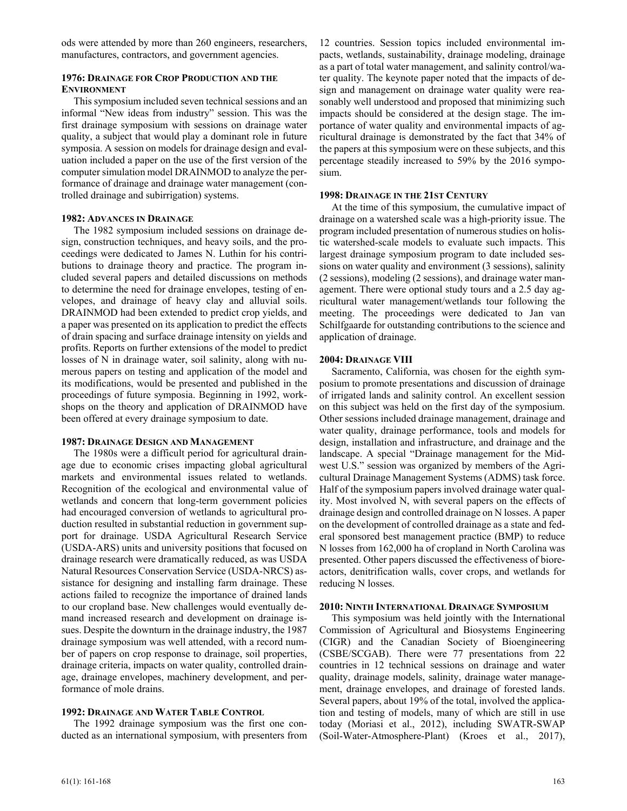ods were attended by more than 260 engineers, researchers, manufactures, contractors, and government agencies.

#### **1976: DRAINAGE FOR CROP PRODUCTION AND THE ENVIRONMENT**

This symposium included seven technical sessions and an informal "New ideas from industry" session. This was the first drainage symposium with sessions on drainage water quality, a subject that would play a dominant role in future symposia. A session on models for drainage design and evaluation included a paper on the use of the first version of the computer simulation model DRAINMOD to analyze the performance of drainage and drainage water management (controlled drainage and subirrigation) systems.

#### **1982: ADVANCES IN DRAINAGE**

The 1982 symposium included sessions on drainage design, construction techniques, and heavy soils, and the proceedings were dedicated to James N. Luthin for his contributions to drainage theory and practice. The program included several papers and detailed discussions on methods to determine the need for drainage envelopes, testing of envelopes, and drainage of heavy clay and alluvial soils. DRAINMOD had been extended to predict crop yields, and a paper was presented on its application to predict the effects of drain spacing and surface drainage intensity on yields and profits. Reports on further extensions of the model to predict losses of N in drainage water, soil salinity, along with numerous papers on testing and application of the model and its modifications, would be presented and published in the proceedings of future symposia. Beginning in 1992, workshops on the theory and application of DRAINMOD have been offered at every drainage symposium to date.

#### **1987: DRAINAGE DESIGN AND MANAGEMENT**

The 1980s were a difficult period for agricultural drainage due to economic crises impacting global agricultural markets and environmental issues related to wetlands. Recognition of the ecological and environmental value of wetlands and concern that long-term government policies had encouraged conversion of wetlands to agricultural production resulted in substantial reduction in government support for drainage. USDA Agricultural Research Service (USDA-ARS) units and university positions that focused on drainage research were dramatically reduced, as was USDA Natural Resources Conservation Service (USDA-NRCS) assistance for designing and installing farm drainage. These actions failed to recognize the importance of drained lands to our cropland base. New challenges would eventually demand increased research and development on drainage issues. Despite the downturn in the drainage industry, the 1987 drainage symposium was well attended, with a record number of papers on crop response to drainage, soil properties, drainage criteria, impacts on water quality, controlled drainage, drainage envelopes, machinery development, and performance of mole drains.

#### **1992: DRAINAGE AND WATER TABLE CONTROL**

The 1992 drainage symposium was the first one conducted as an international symposium, with presenters from

12 countries. Session topics included environmental impacts, wetlands, sustainability, drainage modeling, drainage as a part of total water management, and salinity control/water quality. The keynote paper noted that the impacts of design and management on drainage water quality were reasonably well understood and proposed that minimizing such impacts should be considered at the design stage. The importance of water quality and environmental impacts of agricultural drainage is demonstrated by the fact that 34% of the papers at this symposium were on these subjects, and this percentage steadily increased to 59% by the 2016 symposium.

#### **1998: DRAINAGE IN THE 21ST CENTURY**

At the time of this symposium, the cumulative impact of drainage on a watershed scale was a high-priority issue. The program included presentation of numerous studies on holistic watershed-scale models to evaluate such impacts. This largest drainage symposium program to date included sessions on water quality and environment (3 sessions), salinity (2 sessions), modeling (2 sessions), and drainage water management. There were optional study tours and a 2.5 day agricultural water management/wetlands tour following the meeting. The proceedings were dedicated to Jan van Schilfgaarde for outstanding contributions to the science and application of drainage.

#### **2004: DRAINAGE VIII**

Sacramento, California, was chosen for the eighth symposium to promote presentations and discussion of drainage of irrigated lands and salinity control. An excellent session on this subject was held on the first day of the symposium. Other sessions included drainage management, drainage and water quality, drainage performance, tools and models for design, installation and infrastructure, and drainage and the landscape. A special "Drainage management for the Midwest U.S." session was organized by members of the Agricultural Drainage Management Systems (ADMS) task force. Half of the symposium papers involved drainage water quality. Most involved N, with several papers on the effects of drainage design and controlled drainage on N losses. A paper on the development of controlled drainage as a state and federal sponsored best management practice (BMP) to reduce N losses from 162,000 ha of cropland in North Carolina was presented. Other papers discussed the effectiveness of bioreactors, denitrification walls, cover crops, and wetlands for reducing N losses.

#### **2010: NINTH INTERNATIONAL DRAINAGE SYMPOSIUM**

This symposium was held jointly with the International Commission of Agricultural and Biosystems Engineering (CIGR) and the Canadian Society of Bioengineering (CSBE/SCGAB). There were 77 presentations from 22 countries in 12 technical sessions on drainage and water quality, drainage models, salinity, drainage water management, drainage envelopes, and drainage of forested lands. Several papers, about 19% of the total, involved the application and testing of models, many of which are still in use today (Moriasi et al., 2012), including SWATR-SWAP (Soil-Water-Atmosphere-Plant) (Kroes et al., 2017),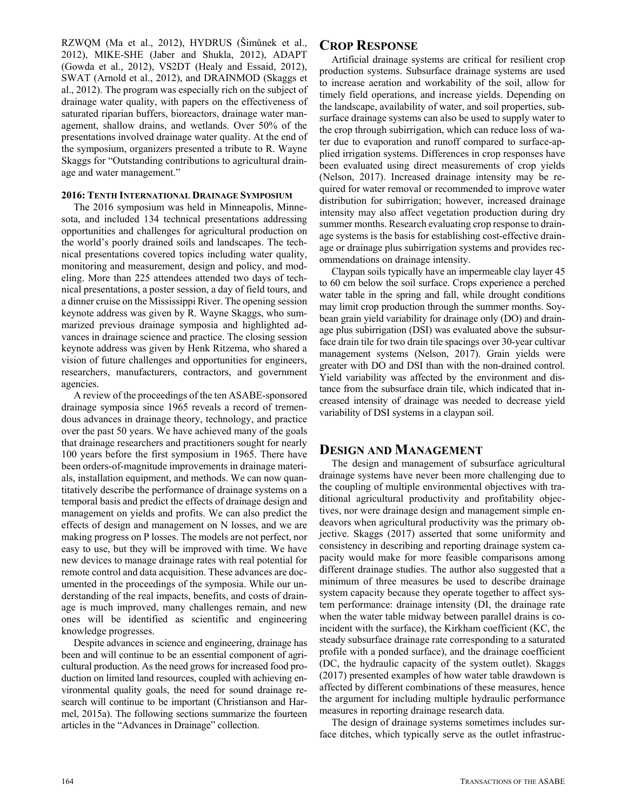RZWQM (Ma et al., 2012), HYDRUS (Šimůnek et al., 2012), MIKE-SHE (Jaber and Shukla, 2012), ADAPT (Gowda et al., 2012), VS2DT (Healy and Essaid, 2012), SWAT (Arnold et al., 2012), and DRAINMOD (Skaggs et al., 2012). The program was especially rich on the subject of drainage water quality, with papers on the effectiveness of saturated riparian buffers, bioreactors, drainage water management, shallow drains, and wetlands. Over 50% of the presentations involved drainage water quality. At the end of the symposium, organizers presented a tribute to R. Wayne Skaggs for "Outstanding contributions to agricultural drainage and water management."

#### **2016: TENTH INTERNATIONAL DRAINAGE SYMPOSIUM**

The 2016 symposium was held in Minneapolis, Minnesota, and included 134 technical presentations addressing opportunities and challenges for agricultural production on the world's poorly drained soils and landscapes. The technical presentations covered topics including water quality, monitoring and measurement, design and policy, and modeling. More than 225 attendees attended two days of technical presentations, a poster session, a day of field tours, and a dinner cruise on the Mississippi River. The opening session keynote address was given by R. Wayne Skaggs, who summarized previous drainage symposia and highlighted advances in drainage science and practice. The closing session keynote address was given by Henk Ritzema, who shared a vision of future challenges and opportunities for engineers, researchers, manufacturers, contractors, and government agencies.

A review of the proceedings of the ten ASABE-sponsored drainage symposia since 1965 reveals a record of tremendous advances in drainage theory, technology, and practice over the past 50 years. We have achieved many of the goals that drainage researchers and practitioners sought for nearly 100 years before the first symposium in 1965. There have been orders-of-magnitude improvements in drainage materials, installation equipment, and methods. We can now quantitatively describe the performance of drainage systems on a temporal basis and predict the effects of drainage design and management on yields and profits. We can also predict the effects of design and management on N losses, and we are making progress on P losses. The models are not perfect, nor easy to use, but they will be improved with time. We have new devices to manage drainage rates with real potential for remote control and data acquisition. These advances are documented in the proceedings of the symposia. While our understanding of the real impacts, benefits, and costs of drainage is much improved, many challenges remain, and new ones will be identified as scientific and engineering knowledge progresses.

Despite advances in science and engineering, drainage has been and will continue to be an essential component of agricultural production. As the need grows for increased food production on limited land resources, coupled with achieving environmental quality goals, the need for sound drainage research will continue to be important (Christianson and Harmel, 2015a). The following sections summarize the fourteen articles in the "Advances in Drainage" collection.

### **CROP RESPONSE**

Artificial drainage systems are critical for resilient crop production systems. Subsurface drainage systems are used to increase aeration and workability of the soil, allow for timely field operations, and increase yields. Depending on the landscape, availability of water, and soil properties, subsurface drainage systems can also be used to supply water to the crop through subirrigation, which can reduce loss of water due to evaporation and runoff compared to surface-applied irrigation systems. Differences in crop responses have been evaluated using direct measurements of crop yields (Nelson, 2017). Increased drainage intensity may be required for water removal or recommended to improve water distribution for subirrigation; however, increased drainage intensity may also affect vegetation production during dry summer months. Research evaluating crop response to drainage systems is the basis for establishing cost-effective drainage or drainage plus subirrigation systems and provides recommendations on drainage intensity.

Claypan soils typically have an impermeable clay layer 45 to 60 cm below the soil surface. Crops experience a perched water table in the spring and fall, while drought conditions may limit crop production through the summer months. Soybean grain yield variability for drainage only (DO) and drainage plus subirrigation (DSI) was evaluated above the subsurface drain tile for two drain tile spacings over 30-year cultivar management systems (Nelson, 2017). Grain yields were greater with DO and DSI than with the non-drained control. Yield variability was affected by the environment and distance from the subsurface drain tile, which indicated that increased intensity of drainage was needed to decrease yield variability of DSI systems in a claypan soil.

### **DESIGN AND MANAGEMENT**

The design and management of subsurface agricultural drainage systems have never been more challenging due to the coupling of multiple environmental objectives with traditional agricultural productivity and profitability objectives, nor were drainage design and management simple endeavors when agricultural productivity was the primary objective. Skaggs (2017) asserted that some uniformity and consistency in describing and reporting drainage system capacity would make for more feasible comparisons among different drainage studies. The author also suggested that a minimum of three measures be used to describe drainage system capacity because they operate together to affect system performance: drainage intensity (DI, the drainage rate when the water table midway between parallel drains is coincident with the surface), the Kirkham coefficient (KC, the steady subsurface drainage rate corresponding to a saturated profile with a ponded surface), and the drainage coefficient (DC, the hydraulic capacity of the system outlet). Skaggs (2017) presented examples of how water table drawdown is affected by different combinations of these measures, hence the argument for including multiple hydraulic performance measures in reporting drainage research data.

The design of drainage systems sometimes includes surface ditches, which typically serve as the outlet infrastruc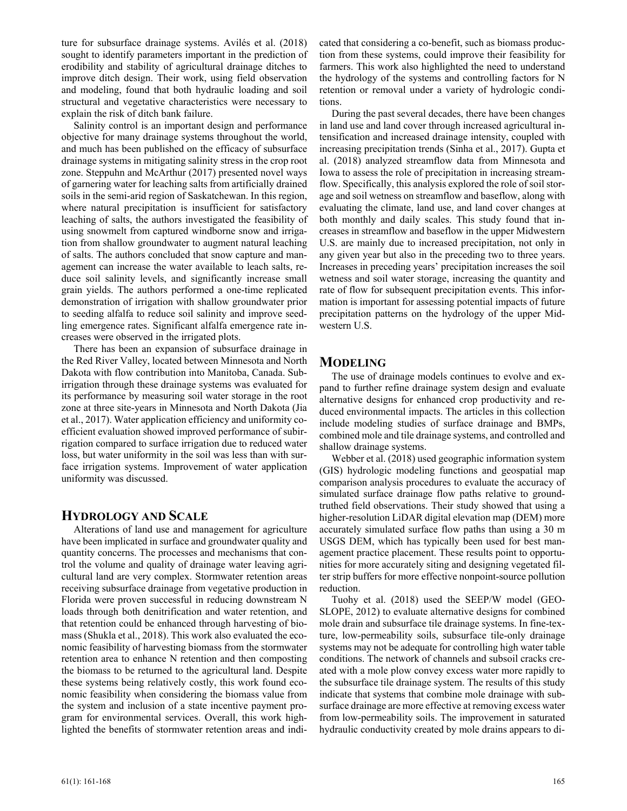ture for subsurface drainage systems. Avilés et al. (2018) sought to identify parameters important in the prediction of erodibility and stability of agricultural drainage ditches to improve ditch design. Their work, using field observation and modeling, found that both hydraulic loading and soil structural and vegetative characteristics were necessary to explain the risk of ditch bank failure.

Salinity control is an important design and performance objective for many drainage systems throughout the world, and much has been published on the efficacy of subsurface drainage systems in mitigating salinity stress in the crop root zone. Steppuhn and McArthur (2017) presented novel ways of garnering water for leaching salts from artificially drained soils in the semi-arid region of Saskatchewan. In this region, where natural precipitation is insufficient for satisfactory leaching of salts, the authors investigated the feasibility of using snowmelt from captured windborne snow and irrigation from shallow groundwater to augment natural leaching of salts. The authors concluded that snow capture and management can increase the water available to leach salts, reduce soil salinity levels, and significantly increase small grain yields. The authors performed a one-time replicated demonstration of irrigation with shallow groundwater prior to seeding alfalfa to reduce soil salinity and improve seedling emergence rates. Significant alfalfa emergence rate increases were observed in the irrigated plots.

There has been an expansion of subsurface drainage in the Red River Valley, located between Minnesota and North Dakota with flow contribution into Manitoba, Canada. Subirrigation through these drainage systems was evaluated for its performance by measuring soil water storage in the root zone at three site-years in Minnesota and North Dakota (Jia et al., 2017). Water application efficiency and uniformity coefficient evaluation showed improved performance of subirrigation compared to surface irrigation due to reduced water loss, but water uniformity in the soil was less than with surface irrigation systems. Improvement of water application uniformity was discussed.

### **HYDROLOGY AND SCALE**

Alterations of land use and management for agriculture have been implicated in surface and groundwater quality and quantity concerns. The processes and mechanisms that control the volume and quality of drainage water leaving agricultural land are very complex. Stormwater retention areas receiving subsurface drainage from vegetative production in Florida were proven successful in reducing downstream N loads through both denitrification and water retention, and that retention could be enhanced through harvesting of biomass (Shukla et al., 2018). This work also evaluated the economic feasibility of harvesting biomass from the stormwater retention area to enhance N retention and then composting the biomass to be returned to the agricultural land. Despite these systems being relatively costly, this work found economic feasibility when considering the biomass value from the system and inclusion of a state incentive payment program for environmental services. Overall, this work highlighted the benefits of stormwater retention areas and indicated that considering a co-benefit, such as biomass production from these systems, could improve their feasibility for farmers. This work also highlighted the need to understand the hydrology of the systems and controlling factors for N retention or removal under a variety of hydrologic conditions.

During the past several decades, there have been changes in land use and land cover through increased agricultural intensification and increased drainage intensity, coupled with increasing precipitation trends (Sinha et al., 2017). Gupta et al. (2018) analyzed streamflow data from Minnesota and Iowa to assess the role of precipitation in increasing streamflow. Specifically, this analysis explored the role of soil storage and soil wetness on streamflow and baseflow, along with evaluating the climate, land use, and land cover changes at both monthly and daily scales. This study found that increases in streamflow and baseflow in the upper Midwestern U.S. are mainly due to increased precipitation, not only in any given year but also in the preceding two to three years. Increases in preceding years' precipitation increases the soil wetness and soil water storage, increasing the quantity and rate of flow for subsequent precipitation events. This information is important for assessing potential impacts of future precipitation patterns on the hydrology of the upper Midwestern U.S.

## **MODELING**

The use of drainage models continues to evolve and expand to further refine drainage system design and evaluate alternative designs for enhanced crop productivity and reduced environmental impacts. The articles in this collection include modeling studies of surface drainage and BMPs, combined mole and tile drainage systems, and controlled and shallow drainage systems.

Webber et al. (2018) used geographic information system (GIS) hydrologic modeling functions and geospatial map comparison analysis procedures to evaluate the accuracy of simulated surface drainage flow paths relative to groundtruthed field observations. Their study showed that using a higher-resolution LiDAR digital elevation map (DEM) more accurately simulated surface flow paths than using a 30 m USGS DEM, which has typically been used for best management practice placement. These results point to opportunities for more accurately siting and designing vegetated filter strip buffers for more effective nonpoint-source pollution reduction.

Tuohy et al. (2018) used the SEEP/W model (GEO-SLOPE, 2012) to evaluate alternative designs for combined mole drain and subsurface tile drainage systems. In fine-texture, low-permeability soils, subsurface tile-only drainage systems may not be adequate for controlling high water table conditions. The network of channels and subsoil cracks created with a mole plow convey excess water more rapidly to the subsurface tile drainage system. The results of this study indicate that systems that combine mole drainage with subsurface drainage are more effective at removing excess water from low-permeability soils. The improvement in saturated hydraulic conductivity created by mole drains appears to di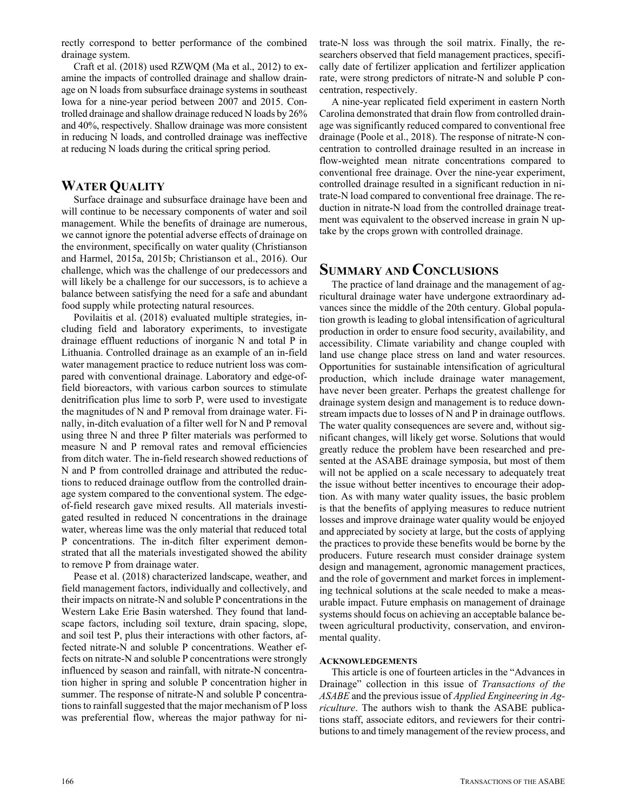rectly correspond to better performance of the combined drainage system.

Craft et al. (2018) used RZWQM (Ma et al., 2012) to examine the impacts of controlled drainage and shallow drainage on N loads from subsurface drainage systems in southeast Iowa for a nine-year period between 2007 and 2015. Controlled drainage and shallow drainage reduced N loads by 26% and 40%, respectively. Shallow drainage was more consistent in reducing N loads, and controlled drainage was ineffective at reducing N loads during the critical spring period.

### **WATER QUALITY**

Surface drainage and subsurface drainage have been and will continue to be necessary components of water and soil management. While the benefits of drainage are numerous, we cannot ignore the potential adverse effects of drainage on the environment, specifically on water quality (Christianson and Harmel, 2015a, 2015b; Christianson et al., 2016). Our challenge, which was the challenge of our predecessors and will likely be a challenge for our successors, is to achieve a balance between satisfying the need for a safe and abundant food supply while protecting natural resources.

Povilaitis et al. (2018) evaluated multiple strategies, including field and laboratory experiments, to investigate drainage effluent reductions of inorganic N and total P in Lithuania. Controlled drainage as an example of an in-field water management practice to reduce nutrient loss was compared with conventional drainage. Laboratory and edge-offield bioreactors, with various carbon sources to stimulate denitrification plus lime to sorb P, were used to investigate the magnitudes of N and P removal from drainage water. Finally, in-ditch evaluation of a filter well for N and P removal using three N and three P filter materials was performed to measure N and P removal rates and removal efficiencies from ditch water. The in-field research showed reductions of N and P from controlled drainage and attributed the reductions to reduced drainage outflow from the controlled drainage system compared to the conventional system. The edgeof-field research gave mixed results. All materials investigated resulted in reduced N concentrations in the drainage water, whereas lime was the only material that reduced total P concentrations. The in-ditch filter experiment demonstrated that all the materials investigated showed the ability to remove P from drainage water.

Pease et al. (2018) characterized landscape, weather, and field management factors, individually and collectively, and their impacts on nitrate-N and soluble P concentrations in the Western Lake Erie Basin watershed. They found that landscape factors, including soil texture, drain spacing, slope, and soil test P, plus their interactions with other factors, affected nitrate-N and soluble P concentrations. Weather effects on nitrate-N and soluble P concentrations were strongly influenced by season and rainfall, with nitrate-N concentration higher in spring and soluble P concentration higher in summer. The response of nitrate-N and soluble P concentrations to rainfall suggested that the major mechanism of P loss was preferential flow, whereas the major pathway for nitrate-N loss was through the soil matrix. Finally, the researchers observed that field management practices, specifically date of fertilizer application and fertilizer application rate, were strong predictors of nitrate-N and soluble P concentration, respectively.

A nine-year replicated field experiment in eastern North Carolina demonstrated that drain flow from controlled drainage was significantly reduced compared to conventional free drainage (Poole et al., 2018). The response of nitrate-N concentration to controlled drainage resulted in an increase in flow-weighted mean nitrate concentrations compared to conventional free drainage. Over the nine-year experiment, controlled drainage resulted in a significant reduction in nitrate-N load compared to conventional free drainage. The reduction in nitrate-N load from the controlled drainage treatment was equivalent to the observed increase in grain N uptake by the crops grown with controlled drainage.

# **SUMMARY AND CONCLUSIONS**

The practice of land drainage and the management of agricultural drainage water have undergone extraordinary advances since the middle of the 20th century. Global population growth is leading to global intensification of agricultural production in order to ensure food security, availability, and accessibility. Climate variability and change coupled with land use change place stress on land and water resources. Opportunities for sustainable intensification of agricultural production, which include drainage water management, have never been greater. Perhaps the greatest challenge for drainage system design and management is to reduce downstream impacts due to losses of N and P in drainage outflows. The water quality consequences are severe and, without significant changes, will likely get worse. Solutions that would greatly reduce the problem have been researched and presented at the ASABE drainage symposia, but most of them will not be applied on a scale necessary to adequately treat the issue without better incentives to encourage their adoption. As with many water quality issues, the basic problem is that the benefits of applying measures to reduce nutrient losses and improve drainage water quality would be enjoyed and appreciated by society at large, but the costs of applying the practices to provide these benefits would be borne by the producers. Future research must consider drainage system design and management, agronomic management practices, and the role of government and market forces in implementing technical solutions at the scale needed to make a measurable impact. Future emphasis on management of drainage systems should focus on achieving an acceptable balance between agricultural productivity, conservation, and environmental quality.

#### **ACKNOWLEDGEMENTS**

This article is one of fourteen articles in the "Advances in Drainage" collection in this issue of *Transactions of the ASABE* and the previous issue of *Applied Engineering in Agriculture*. The authors wish to thank the ASABE publications staff, associate editors, and reviewers for their contributions to and timely management of the review process, and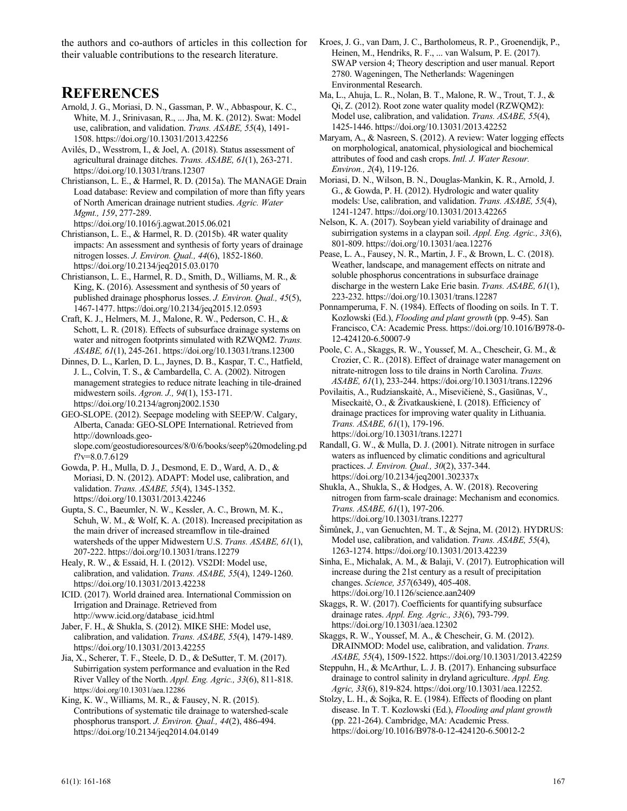the authors and co-authors of articles in this collection for their valuable contributions to the research literature.

# **REFERENCES**

- Arnold, J. G., Moriasi, D. N., Gassman, P. W., Abbaspour, K. C., White, M. J., Srinivasan, R., ... Jha, M. K. (2012). Swat: Model use, calibration, and validation. *Trans. ASABE, 55*(4), 1491- 1508. https://doi.org/10.13031/2013.42256
- Avilés, D., Wesstrom, I., & Joel, A. (2018). Status assessment of agricultural drainage ditches. *Trans. ASABE, 61*(1), 263-271. https://doi.org/10.13031/trans.12307
- Christianson, L. E., & Harmel, R. D. (2015a). The MANAGE Drain Load database: Review and compilation of more than fifty years of North American drainage nutrient studies. *Agric. Water Mgmt., 159*, 277-289.
	- https://doi.org/10.1016/j.agwat.2015.06.021
- Christianson, L. E., & Harmel, R. D. (2015b). 4R water quality impacts: An assessment and synthesis of forty years of drainage nitrogen losses. *J. Environ. Qual., 44*(6), 1852-1860. https://doi.org/10.2134/jeq2015.03.0170
- Christianson, L. E., Harmel, R. D., Smith, D., Williams, M. R., & King, K. (2016). Assessment and synthesis of 50 years of published drainage phosphorus losses. *J. Environ. Qual., 45*(5), 1467-1477. https://doi.org/10.2134/jeq2015.12.0593
- Craft, K. J., Helmers, M. J., Malone, R. W., Pederson, C. H., & Schott, L. R. (2018). Effects of subsurface drainage systems on water and nitrogen footprints simulated with RZWQM2. *Trans. ASABE, 61*(1), 245-261. https://doi.org/10.13031/trans.12300
- Dinnes, D. L., Karlen, D. L., Jaynes, D. B., Kaspar, T. C., Hatfield, J. L., Colvin, T. S., & Cambardella, C. A. (2002). Nitrogen management strategies to reduce nitrate leaching in tile-drained midwestern soils. *Agron. J., 94*(1), 153-171. https://doi.org/10.2134/agronj2002.1530
- GEO-SLOPE. (2012). Seepage modeling with SEEP/W. Calgary, Alberta, Canada: GEO-SLOPE International. Retrieved from http://downloads.geoslope.com/geostudioresources/8/0/6/books/seep%20modeling.pd f?v=8.0.7.6129
- Gowda, P. H., Mulla, D. J., Desmond, E. D., Ward, A. D., & Moriasi, D. N. (2012). ADAPT: Model use, calibration, and validation. *Trans. ASABE, 55*(4), 1345-1352. https://doi.org/10.13031/2013.42246
- Gupta, S. C., Baeumler, N. W., Kessler, A. C., Brown, M. K., Schuh, W. M., & Wolf, K. A. (2018). Increased precipitation as the main driver of increased streamflow in tile-drained watersheds of the upper Midwestern U.S. *Trans. ASABE, 61*(1), 207-222. https://doi.org/10.13031/trans.12279
- Healy, R. W., & Essaid, H. I. (2012). VS2DI: Model use, calibration, and validation. *Trans. ASABE, 55*(4), 1249-1260. https://doi.org/10.13031/2013.42238
- ICID. (2017). World drained area. International Commission on Irrigation and Drainage. Retrieved from http://www.icid.org/database\_icid.html
- Jaber, F. H., & Shukla, S. (2012). MIKE SHE: Model use, calibration, and validation. *Trans. ASABE, 55*(4), 1479-1489. https://doi.org/10.13031/2013.42255
- Jia, X., Scherer, T. F., Steele, D. D., & DeSutter, T. M. (2017). Subirrigation system performance and evaluation in the Red River Valley of the North. *Appl. Eng. Agric., 33*(6), 811-818. https://doi.org/10.13031/aea.12286
- King, K. W., Williams, M. R., & Fausey, N. R. (2015). Contributions of systematic tile drainage to watershed-scale phosphorus transport. *J. Environ. Qual., 44*(2), 486-494. https://doi.org/10.2134/jeq2014.04.0149
- Kroes, J. G., van Dam, J. C., Bartholomeus, R. P., Groenendijk, P., Heinen, M., Hendriks, R. F., ... van Walsum, P. E. (2017). SWAP version 4; Theory description and user manual. Report 2780. Wageningen, The Netherlands: Wageningen Environmental Research.
- Ma, L., Ahuja, L. R., Nolan, B. T., Malone, R. W., Trout, T. J., & Qi, Z. (2012). Root zone water quality model (RZWQM2): Model use, calibration, and validation. *Trans. ASABE, 55*(4), 1425-1446. https://doi.org/10.13031/2013.42252
- Maryam, A., & Nasreen, S. (2012). A review: Water logging effects on morphological, anatomical, physiological and biochemical attributes of food and cash crops. *Intl. J. Water Resour. Environ., 2*(4), 119-126.
- Moriasi, D. N., Wilson, B. N., Douglas-Mankin, K. R., Arnold, J. G., & Gowda, P. H. (2012). Hydrologic and water quality models: Use, calibration, and validation. *Trans. ASABE, 55*(4), 1241-1247. https://doi.org/10.13031/2013.42265
- Nelson, K. A. (2017). Soybean yield variability of drainage and subirrigation systems in a claypan soil. *Appl. Eng. Agric., 33*(6), 801-809. https://doi.org/10.13031/aea.12276
- Pease, L. A., Fausey, N. R., Martin, J. F., & Brown, L. C. (2018). Weather, landscape, and management effects on nitrate and soluble phosphorus concentrations in subsurface drainage discharge in the western Lake Erie basin. *Trans. ASABE, 61*(1), 223-232. https://doi.org/10.13031/trans.12287
- Ponnamperuma, F. N. (1984). Effects of flooding on soils. In T. T. Kozlowski (Ed.), *Flooding and plant growth* (pp. 9-45). San Francisco, CA: Academic Press. https://doi.org/10.1016/B978-0- 12-424120-6.50007-9
- Poole, C. A., Skaggs, R. W., Youssef, M. A., Chescheir, G. M., & Crozier, C. R.. (2018). Effect of drainage water management on nitrate-nitrogen loss to tile drains in North Carolina. *Trans. ASABE, 61*(1), 233-244. https://doi.org/10.13031/trans.12296
- Povilaitis, A., Rudzianskaitė, A., Misevičienė, S., Gasiūnas, V., Miseckaitė, O., & Živatkauskienė, I. (2018). Efficiency of drainage practices for improving water quality in Lithuania. *Trans. ASABE, 61*(1), 179-196. https://doi.org/10.13031/trans.12271
- Randall, G. W., & Mulla, D. J. (2001). Nitrate nitrogen in surface waters as influenced by climatic conditions and agricultural practices. *J. Environ. Qual., 30*(2), 337-344. https://doi.org/10.2134/jeq2001.302337x
- Shukla, A., Shukla, S., & Hodges, A. W. (2018). Recovering nitrogen from farm-scale drainage: Mechanism and economics. *Trans. ASABE, 61*(1), 197-206. https://doi.org/10.13031/trans.12277
- Šimůnek, J., van Genuchten, M. T., & Sejna, M. (2012). HYDRUS: Model use, calibration, and validation. *Trans. ASABE, 55*(4), 1263-1274. https://doi.org/10.13031/2013.42239
- Sinha, E., Michalak, A. M., & Balaji, V. (2017). Eutrophication will increase during the 21st century as a result of precipitation changes. *Science, 357*(6349), 405-408. https://doi.org/10.1126/science.aan2409
- Skaggs, R. W. (2017). Coefficients for quantifying subsurface drainage rates. *Appl. Eng. Agric., 33*(6), 793-799. https://doi.org/10.13031/aea.12302
- Skaggs, R. W., Youssef, M. A., & Chescheir, G. M. (2012). DRAINMOD: Model use, calibration, and validation. *Trans. ASABE, 55*(4), 1509-1522. https://doi.org/10.13031/2013.42259
- Steppuhn, H., & McArthur, L. J. B. (2017). Enhancing subsurface drainage to control salinity in dryland agriculture. *Appl. Eng. Agric, 33*(6), 819-824. https://doi.org/10.13031/aea.12252.
- Stolzy, L. H., & Sojka, R. E. (1984). Effects of flooding on plant disease. In T. T. Kozlowski (Ed.), *Flooding and plant growth* (pp. 221-264). Cambridge, MA: Academic Press. https://doi.org/10.1016/B978-0-12-424120-6.50012-2